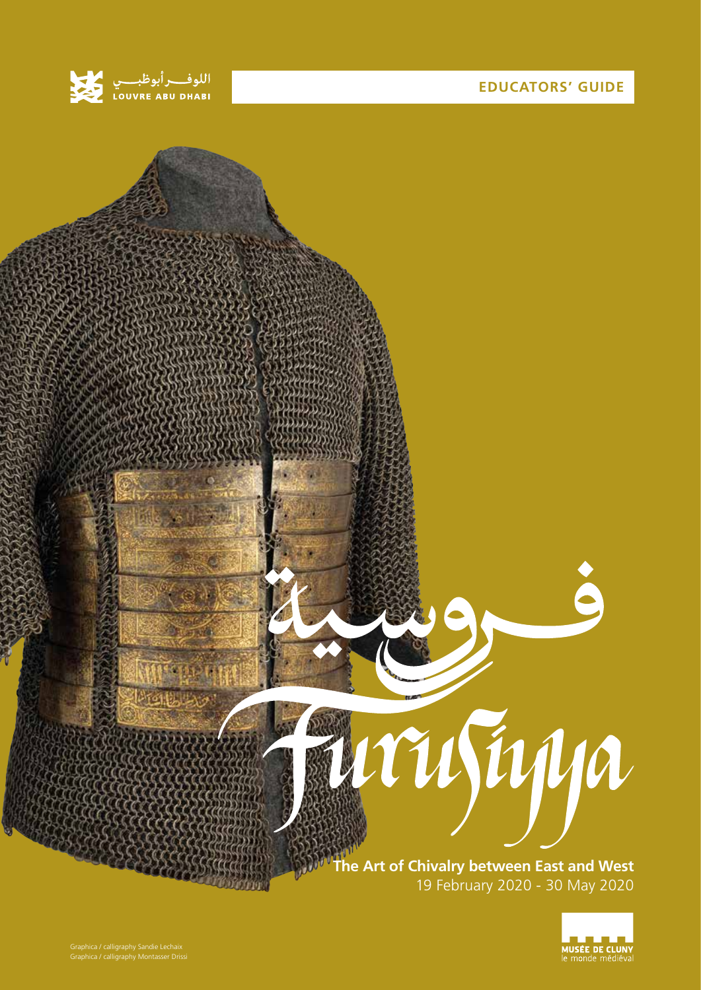

## **EDUCATORS' GUIDE**



**The Art of Chivalry between East and West** 19 February 2020 - 30 May 2020

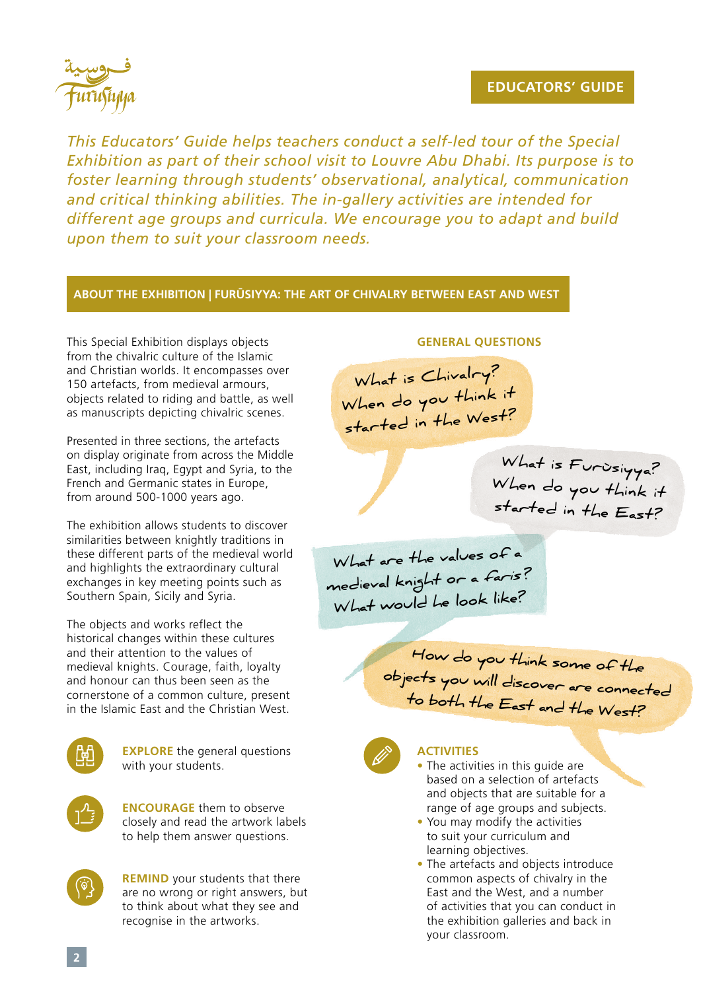## **EDUCATORS' GUIDE**



*This Educators' Guide helps teachers conduct a self-led tour of the Special Exhibition as part of their school visit to Louvre Abu Dhabi. Its purpose is to foster learning through students' observational, analytical, communication and critical thinking abilities. The in-gallery activities are intended for different age groups and curricula. We encourage you to adapt and build upon them to suit your classroom needs.*

## **ABOUT THE EXHIBITION | FURŪSIYYA: THE ART OF CHIVALRY BETWEEN EAST AND WEST**

This Special Exhibition displays objects from the chivalric culture of the Islamic and Christian worlds. It encompasses over 150 artefacts, from medieval armours, objects related to riding and battle, as well as manuscripts depicting chivalric scenes.

Presented in three sections, the artefacts on display originate from across the Middle East, including Iraq, Egypt and Syria, to the French and Germanic states in Europe, from around 500-1000 years ago.

The exhibition allows students to discover similarities between knightly traditions in these different parts of the medieval world and highlights the extraordinary cultural exchanges in key meeting points such as Southern Spain, Sicily and Syria.

The objects and works reflect the historical changes within these cultures and their attention to the values of medieval knights. Courage, faith, loyalty and honour can thus been seen as the cornerstone of a common culture, present in the Islamic East and the Christian West.



**EXPLORE** the general questions with your students.

**ENCOURAGE** them to observe closely and read the artwork labels to help them answer questions.



**REMIND** your students that there are no wrong or right answers, but to think about what they see and recognise in the artworks.

#### **GENERAL QUESTIONS**

**What is Chivalry? When do you think it started in the West?**

> **What is Furùsiyya? When do you think it started in the East?**

**What are the values of a medieval knight or a faris ? What would he look like?**

**How do you think some of the objects you will discover are connected to both the East and the West?**



#### **ACTIVITIES**

• The activities in this guide are based on a selection of artefacts and objects that are suitable for a range of age groups and subjects.

- You may modify the activities to suit your curriculum and learning objectives.
- The artefacts and objects introduce common aspects of chivalry in the East and the West, and a number of activities that you can conduct in the exhibition galleries and back in your classroom.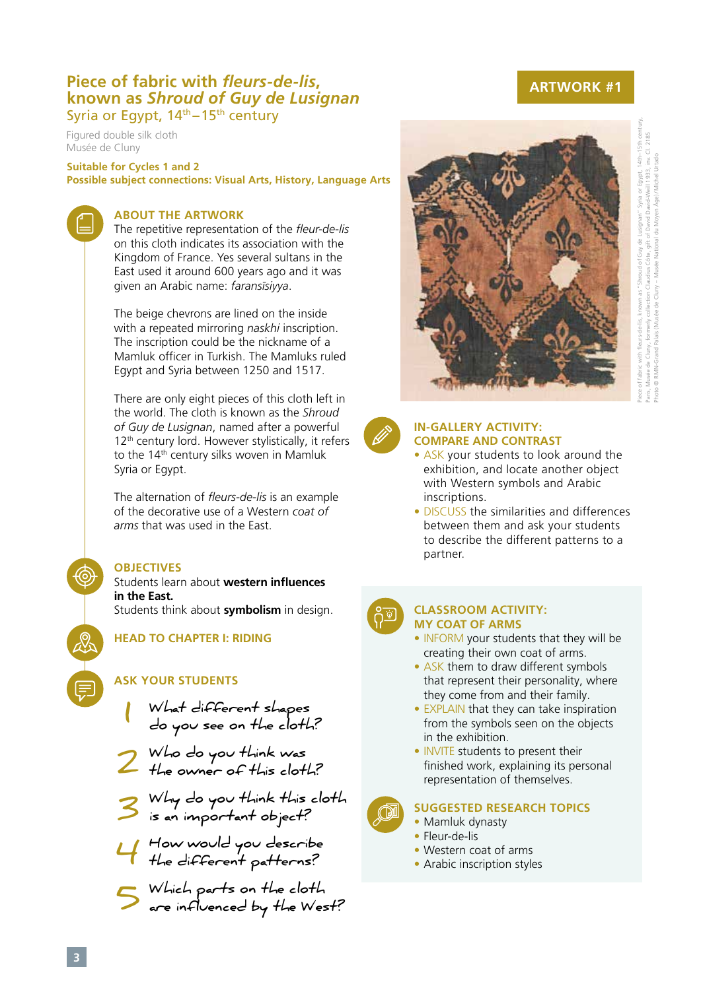# **Piece of fabric with** *fleurs-de-lis***, known as** *Shroud of Guy de Lusignan*Syria or Eqypt,  $14<sup>th</sup> - 15<sup>th</sup>$  century

Figured double silk cloth Musée de Cluny

**Suitable for Cycles 1 and 2 Possible subject connections: Visual Arts, History, Language Arts** 

### **ABOUT THE ARTWORK**

The repetitive representation of the *fleur-de-lis*  on this cloth indicates its association with the Kingdom of France. Yes several sultans in the East used it around 600 years ago and it was given an Arabic name: *faransīsiyya*.

The beige chevrons are lined on the inside with a repeated mirroring *naskhi* inscription. The inscription could be the nickname of a Mamluk officer in Turkish. The Mamluks ruled Egypt and Syria between 1250 and 1517.

There are only eight pieces of this cloth left in the world. The cloth is known as the *Shroud of Guy de Lusignan*, named after a powerful  $12<sup>th</sup>$  century lord. However stylistically, it refers to the 14<sup>th</sup> century silks woven in Mamluk Syria or Egypt.

The alternation of *fleurs-de-lis* is an example of the decorative use of a Western *coat of arms* that was used in the East.

### **OBJECTIVES**

#### Students learn about **western influences in the East.**

Students think about **symbolism** in design.

**HEAD TO CHAPTER I: RIDING**

## **ASK YOUR STUDENTS**

- **What different shapes**  What different shapes<br>do you see on the cloth?
- **Who do you think was**  The owner of this cloth?
- **Why do you think this cloth is an important object? 3**
- **How would you describe the different patterns?**
- **Which parts on the cloth are influenced by the West? 5**

## **ARTWORK #1**



#### **IN-GALLERY ACTIVITY: COMPARE AND CONTRAST**

- ASK your students to look around the exhibition, and locate another object with Western symbols and Arabic inscriptions.
- DISCUSS the similarities and differences between them and ask your students to describe the different patterns to a partner.



#### **CLASSROOM ACTIVITY: MY COAT OF ARMS**

- INFORM your students that they will be creating their own coat of arms.
- ASK them to draw different symbols that represent their personality, where they come from and their family.
- EXPLAIN that they can take inspiration from the symbols seen on the objects in the exhibition.
- INVITE students to present their finished work, explaining its personal representation of themselves.



- Mamluk dynasty
- Fleur-de-lis
- Western coat of arms
- Arabic inscription styles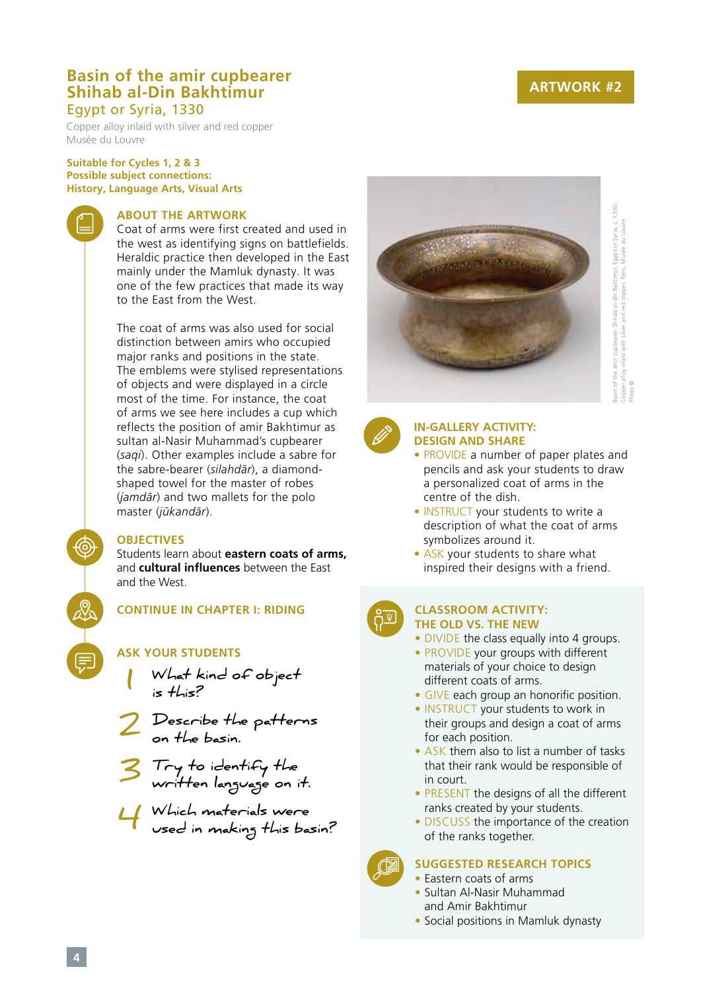## **ARTWORK #2**

## **Basin of the amir cupbearer Shihab al-Din Bakhtimur** Egypt or Syria, 1330

Copper alloy inlaid with silver and red copper Musée du Louvre

#### **Suitable for Cycles 1, 2 & 3 Possible subject connections: History, Language Arts, Visual Arts**

#### **ABOUT THE ARTWORK**

Coat of arms were first created and used in the west as identifying signs on battlefields. Heraldic practice then developed in the East mainly under the Mamluk dynasty. It was one of the few practices that made its way to the East from the West.

The coat of arms was also used for social distinction between amirs who occupied major ranks and positions in the state. The emblems were stylised representations of objects and were displayed in a circle most of the time. For instance, the coat of arms we see here includes a cup which reflects the position of amir Bakhtimur as sultan al-Nasir Muhammad's cupbearer (*saqi*). Other examples include a sabre for the sabre-bearer (*silahdār*), a diamondshaped towel for the master of robes (*jamdār*) and two mallets for the polo master (*jūkandār*).

#### **OBJECTIVES**

Students learn about **eastern coats of arms,**  and **cultural influences** between the East and the West.

**CONTINUE IN CHAPTER I: RIDING**

- **ASK YOUR STUDENTS**
- **What kind of object is this? 1**



- **Try to identify the written language on it. 3**
- **Which materials were**  Which materials were<br>Used in making this basin?



Basin of the amir cupbearer Shihāb al-dīn Baktimur, Egypt or Syria, c. 1330, amir cupbearer Shihāb al-dīn Baktimur, Egypt or Syria, c. 1330,<br>y inlaid with silver and red copper, Paris, Musée du Louvre Copper alloy inlaid with silver and red copper, Paris, Musée du Louvre sasin of the a<br>Copper alloy i Photo ©



#### **IN-GALLERY ACTIVITY: DESIGN AND SHARE**

- PROVIDE a number of paper plates and pencils and ask your students to draw a personalized coat of arms in the centre of the dish.
- INSTRUCT your students to write a description of what the coat of arms symbolizes around it.
- ASK your students to share what inspired their designs with a friend.



#### **CLASSROOM ACTIVITY: THE OLD VS. THE NEW**

- DIVIDE the class equally into 4 groups.
- PROVIDE your groups with different materials of your choice to design different coats of arms.
- GIVE each group an honorific position.
- INSTRUCT your students to work in their groups and design a coat of arms for each position.
- ASK them also to list a number of tasks that their rank would be responsible of in court.
- PRESENT the designs of all the different ranks created by your students.
- DISCUSS the importance of the creation of the ranks together.



- Eastern coats of arms
- Sultan Al-Nasir Muhammad and Amir Bakhtimur
- Social positions in Mamluk dynasty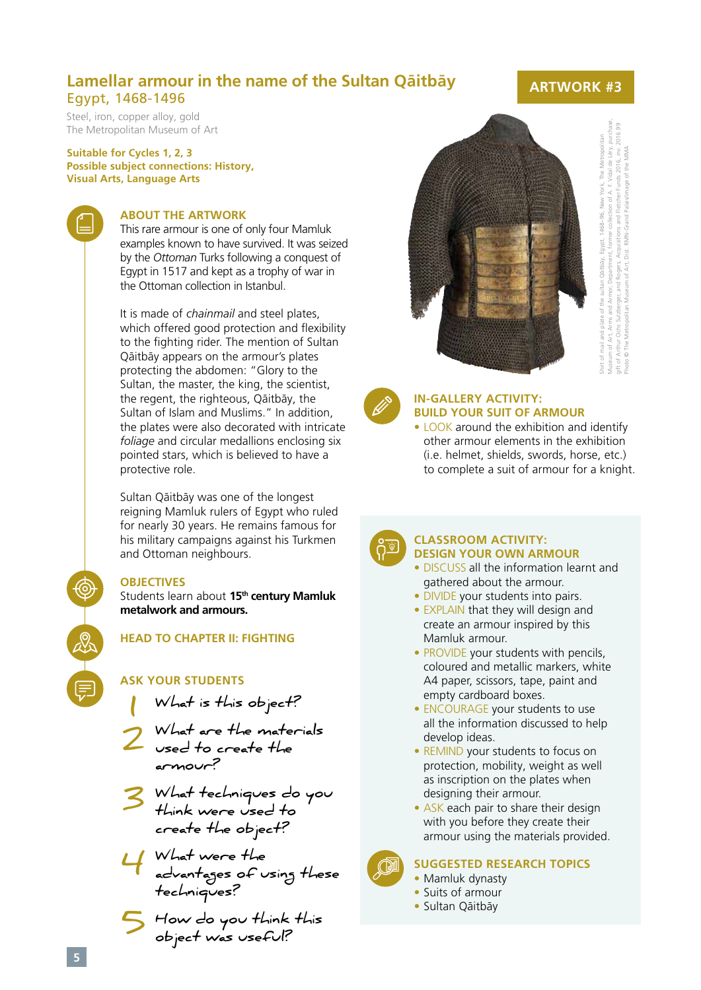## **Lamellar armour in the name of the Sultan Qāitbāy**  Egypt, 1468-1496

Steel, iron, copper alloy, gold The Metropolitan Museum of Art

**Suitable for Cycles 1, 2, 3 Possible subject connections: History, Visual Arts, Language Arts**



#### **ABOUT THE ARTWORK**

This rare armour is one of only four Mamluk examples known to have survived. It was seized by the *Ottoman* Turks following a conquest of Egypt in 1517 and kept as a trophy of war in the Ottoman collection in Istanbul.

It is made of *chainmail* and steel plates, which offered good protection and flexibility to the fighting rider. The mention of Sultan Qāitbāy appears on the armour's plates protecting the abdomen: "Glory to the Sultan, the master, the king, the scientist, the regent, the righteous, Qāitbāy, the Sultan of Islam and Muslims." In addition, the plates were also decorated with intricate *foliage* and circular medallions enclosing six pointed stars, which is believed to have a protective role.

Sultan Qāitbāy was one of the longest reigning Mamluk rulers of Egypt who ruled for nearly 30 years. He remains famous for his military campaigns against his Turkmen and Ottoman neighbours.

### **OBJECTIVES**

Students learn about **15th century Mamluk metalwork and armours.** 

**HEAD TO CHAPTER II: FIGHTING**

## **ASK YOUR STUDENTS**

- **What is this object? 1**
- **What are the materials**  Used to create the **armour?**
- **What techniques do you**   $\frac{1}{2}$  What techniques do<br>think were used to **create the object?**
- **What were the advantages of using these techniques? 4**
- **How do you think this object was useful? 5**



Shirt of mail and plate of the sultan Qāitbāy, Egypt, 1468–96, New York, The Metropolitan Museum of Art, Arms and Armor, Department, former collection of A. F. Vidal de Léry, purchase, gift of Arthur Ochs Sulzberger, and Rogers, Acquisitions and Fletcher Funds 2016, inv. 2016.99 Photo © The Metropolitan Museum of Art, Dist. RMN-Grand Palais/image of the MMA



#### **IN-GALLERY ACTIVITY: BUILD YOUR SUIT OF ARMOUR**

• LOOK around the exhibition and identify other armour elements in the exhibition (i.e. helmet, shields, swords, horse, etc.) to complete a suit of armour for a knight.



#### **CLASSROOM ACTIVITY: DESIGN YOUR OWN ARMOUR**

- DISCUSS all the information learnt and gathered about the armour.
- DIVIDE your students into pairs.
- EXPLAIN that they will design and create an armour inspired by this Mamluk armour.
- PROVIDE your students with pencils, coloured and metallic markers, white A4 paper, scissors, tape, paint and empty cardboard boxes.
- ENCOURAGE your students to use all the information discussed to help develop ideas.
- REMIND your students to focus on protection, mobility, weight as well as inscription on the plates when designing their armour.
- ASK each pair to share their design with you before they create their armour using the materials provided.

## **SUGGESTED RESEARCH TOPICS**

- Mamluk dynasty
- Suits of armour
- Sultan Qāitbāy

## **ARTWORK #3**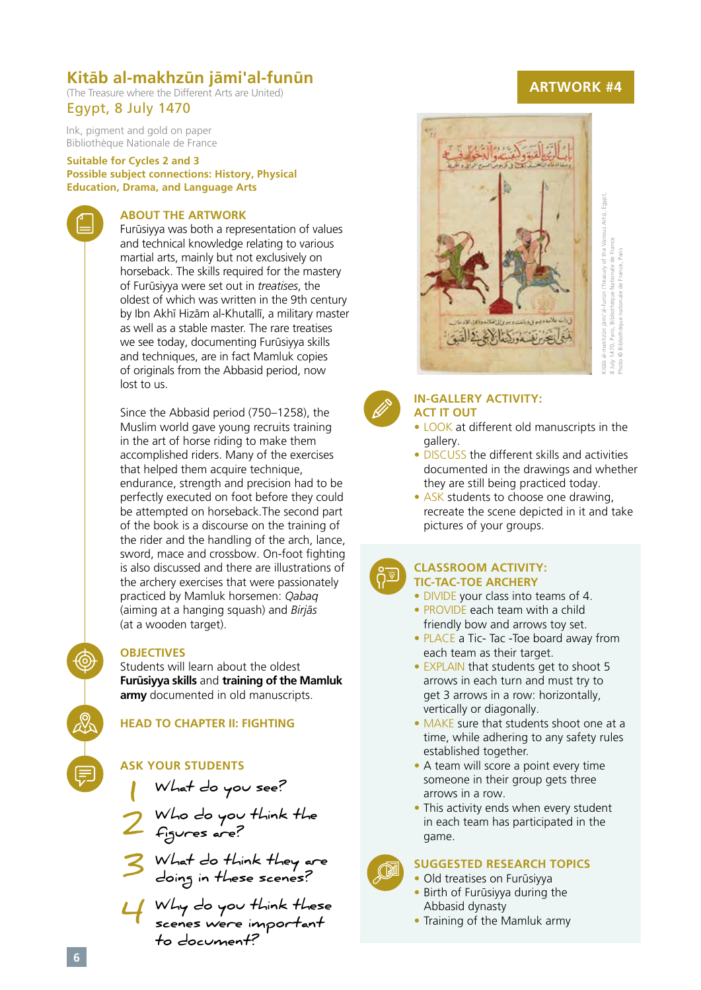## **Kitāb al-makhzūn jāmi'al-funūn**

(The Treasure where the Different Arts are United) Egypt, 8 July 1470

Ink, pigment and gold on paper Bibliothèque Nationale de France

**Suitable for Cycles 2 and 3 Possible subject connections: History, Physical Education, Drama, and Language Arts**

## **ABOUT THE ARTWORK**

Furūsiyya was both a representation of values and technical knowledge relating to various martial arts, mainly but not exclusively on horseback. The skills required for the mastery of Furūsiyya were set out in *treatises*, the oldest of which was written in the 9th century by Ibn Akhī Hizām al-Khutallī, a military master as well as a stable master. The rare treatises we see today, documenting Furūsiyya skills and techniques, are in fact Mamluk copies of originals from the Abbasid period, now lost to us.

Since the Abbasid period (750–1258), the Muslim world gave young recruits training in the art of horse riding to make them accomplished riders. Many of the exercises that helped them acquire technique, endurance, strength and precision had to be perfectly executed on foot before they could be attempted on horseback.The second part of the book is a discourse on the training of the rider and the handling of the arch, lance, sword, mace and crossbow. On-foot fighting is also discussed and there are illustrations of the archery exercises that were passionately practiced by Mamluk horsemen: *Qabaq* (aiming at a hanging squash) and *Birjās* (at a wooden target).

#### **OBJECTIVES**

Students will learn about the oldest **Furūsiyya skills** and **training of the Mamluk army** documented in old manuscripts.

### **HEAD TO CHAPTER II: FIGHTING**

### **ASK YOUR STUDENTS**

**What do you see?**

**Who do you think the figures are? 1 2**

**What do think they are 3** What do think they are<br>doing in these scenes?

**Why do you think these scenes were important to document? 4**

## **ARTWORK #4**





#### **IN-GALLERY ACTIVITY: ACT IT OUT**

- LOOK at different old manuscripts in the gallery.
- DISCUSS the different skills and activities documented in the drawings and whether they are still being practiced today.
- ASK students to choose one drawing, recreate the scene depicted in it and take pictures of your groups.



#### **CLASSROOM ACTIVITY: TIC-TAC-TOE ARCHERY**

- DIVIDE your class into teams of 4.
- PROVIDE each team with a child friendly bow and arrows toy set.
- PLACE a Tic- Tac -Toe board away from each team as their target.
- EXPLAIN that students get to shoot 5 arrows in each turn and must try to get 3 arrows in a row: horizontally, vertically or diagonally.
- MAKE sure that students shoot one at a time, while adhering to any safety rules established together.
- A team will score a point every time someone in their group gets three arrows in a row.
- This activity ends when every student in each team has participated in the game.



- Old treatises on Furūsiyya
- Birth of Furūsiyya during the Abbasid dynasty
- Training of the Mamluk army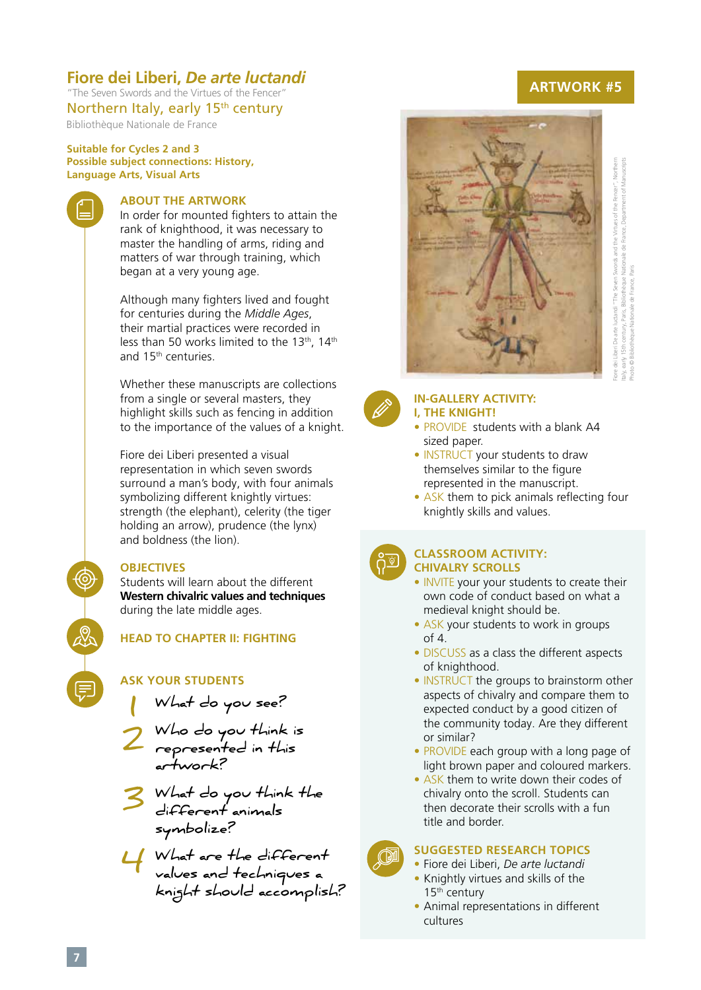## **Fiore dei Liberi,** *De arte luctandi*

"The Seven Swords and the Virtues of the Fencer" Northern Italy, early 15<sup>th</sup> century

Bibliothèque Nationale de France

**Suitable for Cycles 2 and 3 Possible subject connections: History, Language Arts, Visual Arts**

#### **ABOUT THE ARTWORK**

In order for mounted fighters to attain the rank of knighthood, it was necessary to master the handling of arms, riding and matters of war through training, which began at a very young age.

Although many fighters lived and fought for centuries during the *Middle Ages*, their martial practices were recorded in less than 50 works limited to the 13<sup>th</sup>, 14<sup>th</sup> and 15th centuries.

Whether these manuscripts are collections from a single or several masters, they highlight skills such as fencing in addition to the importance of the values of a knight.

Fiore dei Liberi presented a visual representation in which seven swords surround a man's body, with four animals symbolizing different knightly virtues: strength (the elephant), celerity (the tiger holding an arrow), prudence (the lynx) and boldness (the lion).

#### **OBJECTIVES**

Students will learn about the different **Western chivalric values and techniques** during the late middle ages.

**HEAD TO CHAPTER II: FIGHTING**

#### **ASK YOUR STUDENTS**

**What do you see? 1**

**Who do you think is represented in this artwork? 2**

**What do you think the**  S What do you think<br>different animals **symbolize?** 

**What are the different values and techniques a knight should accomplish? 4**

## **ARTWORK #5**



Fiore dei Liberi De arte luctandi "The Seven Swords and the Virtues of the Fencer", Northern Italy, early 15th century, Paris, Bibliothèque Nationale de France, Department of Manuscripts iore dei Liberi De arte luctandi "The Seven Swords and the Virtues of the Fencer", Northe ale de France. Depar century, Paris, Bibliothèque Nation Photo © Bibliothèque Nationale de France, Paris 15th hoto © Biblioth taly, early 1



#### **IN-GALLERY ACTIVITY: I, THE KNIGHT!**

- PROVIDE students with a blank A4 sized paper.
- INSTRUCT your students to draw themselves similar to the figure represented in the manuscript.
- ASK them to pick animals reflecting four knightly skills and values.



#### **CLASSROOM ACTIVITY: CHIVALRY SCROLLS**

- INVITE your your students to create their own code of conduct based on what a medieval knight should be.
- ASK your students to work in groups of 4.
- DISCUSS as a class the different aspects of knighthood.
- INSTRUCT the groups to brainstorm other aspects of chivalry and compare them to expected conduct by a good citizen of the community today. Are they different or similar?
- PROVIDE each group with a long page of light brown paper and coloured markers.
- ASK them to write down their codes of chivalry onto the scroll. Students can then decorate their scrolls with a fun title and border.

- Fiore dei Liberi, *De arte luctandi* • Knightly virtues and skills of the 15th century
- Animal representations in different cultures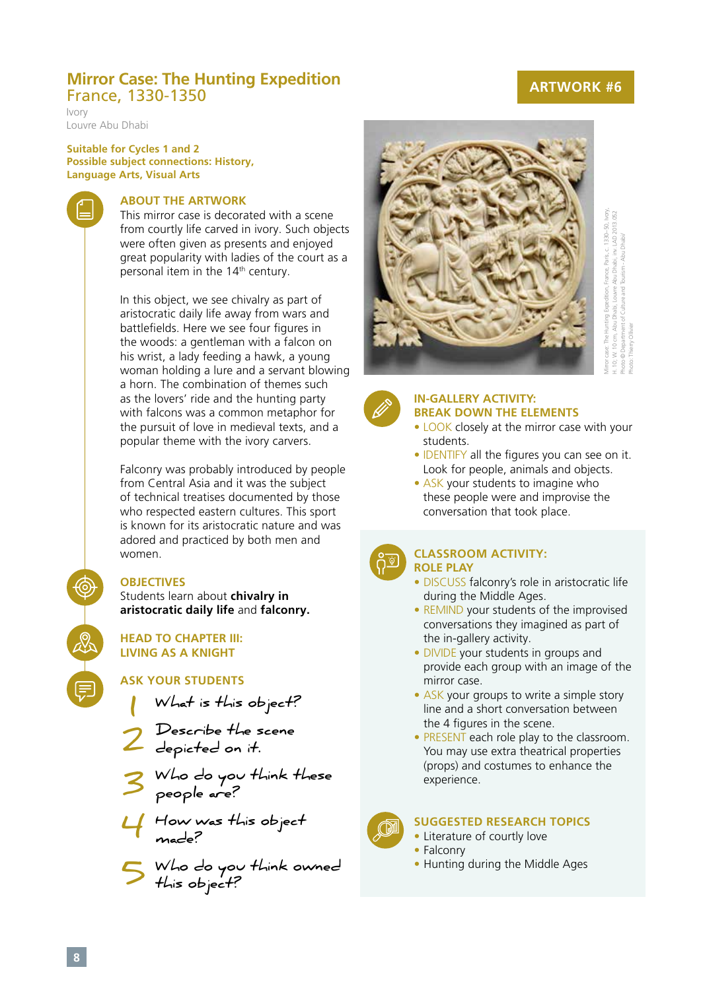## **Mirror Case: The Hunting Expedition**  France, 1330-1350

Ivory Louvre Abu Dhabi

#### **Suitable for Cycles 1 and 2 Possible subject connections: History, Language Arts, Visual Arts**

## **ABOUT THE ARTWORK**

This mirror case is decorated with a scene from courtly life carved in ivory. Such objects were often given as presents and enjoyed great popularity with ladies of the court as a personal item in the 14<sup>th</sup> century.

In this object, we see chivalry as part of aristocratic daily life away from wars and battlefields. Here we see four figures in the woods: a gentleman with a falcon on his wrist, a lady feeding a hawk, a young woman holding a lure and a servant blowing a horn. The combination of themes such as the lovers' ride and the hunting party with falcons was a common metaphor for the pursuit of love in medieval texts, and a popular theme with the ivory carvers.

Falconry was probably introduced by people from Central Asia and it was the subject of technical treatises documented by those who respected eastern cultures. This sport is known for its aristocratic nature and was adored and practiced by both men and women.

## **OBJECTIVES**

Students learn about **chivalry in aristocratic daily life** and **falconry.**

**HEAD TO CHAPTER III: LIVING AS A KNIGHT**

## **ASK YOUR STUDENTS**

- **What is this object? 1**
- **Describe the scene depicted on it. 2**
- **Who do you think these people are? 3**
- **How was this object made? 4**
- **Who do you think owned this object? 5**



Mirror case: The Hunting Expedition, France, Paris, c. 1330–50, Ivory, H. 10; W. 10 cm, Abu Dhabi, Louvre Abu Dhabi, inv. LAD 2013.052 Photo © Department of Culture and Tourism - Abu Dhabi/ Photo: Thierry Ollivier



#### **IN-GALLERY ACTIVITY: BREAK DOWN THE ELEMENTS**

- LOOK closely at the mirror case with your students.
- IDENTIFY all the figures you can see on it. Look for people, animals and objects.
- ASK your students to imagine who these people were and improvise the conversation that took place.



#### **CLASSROOM ACTIVITY: ROLE PLAY**

- DISCUSS falconry's role in aristocratic life during the Middle Ages.
- REMIND your students of the improvised conversations they imagined as part of the in-gallery activity.
- DIVIDE your students in groups and provide each group with an image of the mirror case.
- ASK your groups to write a simple story line and a short conversation between the 4 figures in the scene.
- PRESENT each role play to the classroom. You may use extra theatrical properties (props) and costumes to enhance the experience.



- Literature of courtly love
- Falconry
- Hunting during the Middle Ages